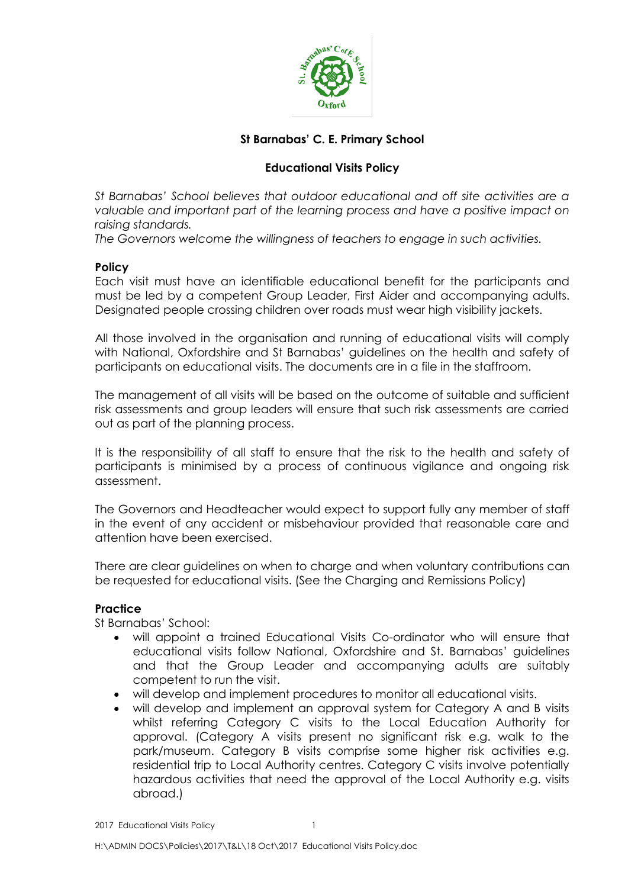

# **St Barnabas' C. E. Primary School**

## **Educational Visits Policy**

*St Barnabas' School believes that outdoor educational and off site activities are a valuable and important part of the learning process and have a positive impact on raising standards.*

*The Governors welcome the willingness of teachers to engage in such activities.*

### **Policy**

Each visit must have an identifiable educational benefit for the participants and must be led by a competent Group Leader, First Aider and accompanying adults. Designated people crossing children over roads must wear high visibility jackets.

All those involved in the organisation and running of educational visits will comply with National, Oxfordshire and St Barnabas' guidelines on the health and safety of participants on educational visits. The documents are in a file in the staffroom.

The management of all visits will be based on the outcome of suitable and sufficient risk assessments and group leaders will ensure that such risk assessments are carried out as part of the planning process.

It is the responsibility of all staff to ensure that the risk to the health and safety of participants is minimised by a process of continuous vigilance and ongoing risk assessment.

The Governors and Headteacher would expect to support fully any member of staff in the event of any accident or misbehaviour provided that reasonable care and attention have been exercised.

There are clear guidelines on when to charge and when voluntary contributions can be requested for educational visits. (See the Charging and Remissions Policy)

### **Practice**

St Barnabas' School:

- will appoint a trained Educational Visits Co-ordinator who will ensure that educational visits follow National, Oxfordshire and St. Barnabas' guidelines and that the Group Leader and accompanying adults are suitably competent to run the visit.
- will develop and implement procedures to monitor all educational visits.
- will develop and implement an approval system for Category A and B visits whilst referring Category C visits to the Local Education Authority for approval. (Category A visits present no significant risk e.g. walk to the park/museum. Category B visits comprise some higher risk activities e.g. residential trip to Local Authority centres. Category C visits involve potentially hazardous activities that need the approval of the Local Authority e.g. visits abroad.)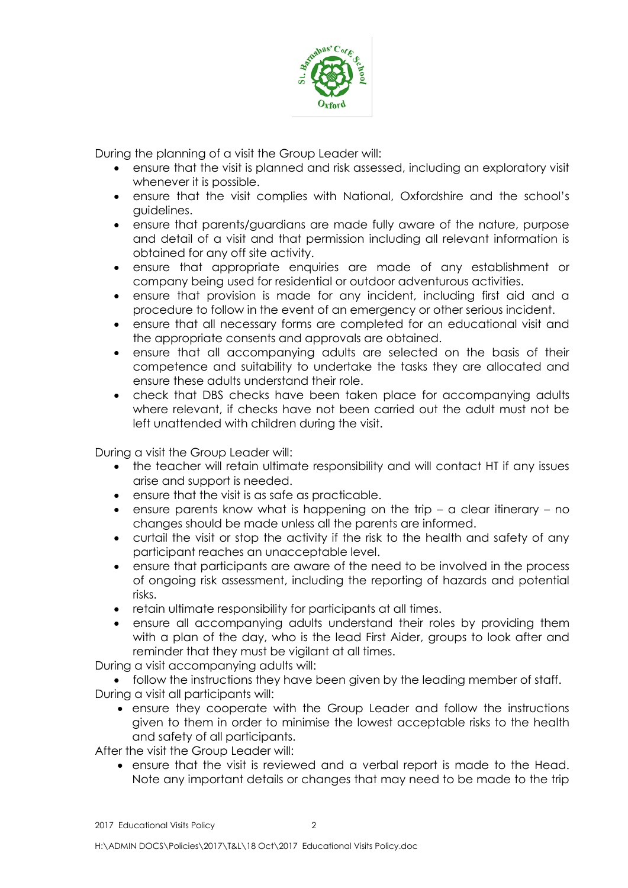

During the planning of a visit the Group Leader will:

- ensure that the visit is planned and risk assessed, including an exploratory visit whenever it is possible.
- ensure that the visit complies with National, Oxfordshire and the school's guidelines.
- ensure that parents/guardians are made fully aware of the nature, purpose and detail of a visit and that permission including all relevant information is obtained for any off site activity.
- ensure that appropriate enquiries are made of any establishment or company being used for residential or outdoor adventurous activities.
- ensure that provision is made for any incident, including first aid and a procedure to follow in the event of an emergency or other serious incident.
- ensure that all necessary forms are completed for an educational visit and the appropriate consents and approvals are obtained.
- ensure that all accompanying adults are selected on the basis of their competence and suitability to undertake the tasks they are allocated and ensure these adults understand their role.
- check that DBS checks have been taken place for accompanying adults where relevant, if checks have not been carried out the adult must not be left unattended with children during the visit.

During a visit the Group Leader will:

- the teacher will retain ultimate responsibility and will contact HT if any issues arise and support is needed.
- ensure that the visit is as safe as practicable.
- ensure parents know what is happening on the trip a clear itinerary no changes should be made unless all the parents are informed.
- curtail the visit or stop the activity if the risk to the health and safety of any participant reaches an unacceptable level.
- ensure that participants are aware of the need to be involved in the process of ongoing risk assessment, including the reporting of hazards and potential risks.
- retain ultimate responsibility for participants at all times.
- ensure all accompanying adults understand their roles by providing them with a plan of the day, who is the lead First Aider, groups to look after and reminder that they must be vigilant at all times.

During a visit accompanying adults will:

 follow the instructions they have been given by the leading member of staff. During a visit all participants will:

 ensure they cooperate with the Group Leader and follow the instructions given to them in order to minimise the lowest acceptable risks to the health and safety of all participants.

After the visit the Group Leader will:

 ensure that the visit is reviewed and a verbal report is made to the Head. Note any important details or changes that may need to be made to the trip